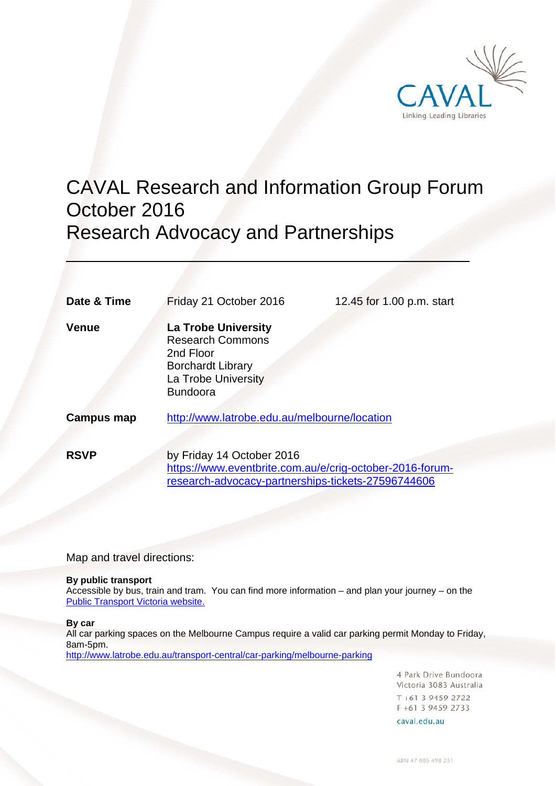

# CAVAL Research and Information Group Forum October 2016 Research Advocacy and Partnerships

| Date & Time       | Friday 21 October 2016                                                                                                                      | 12.45 for 1.00 p.m. start |
|-------------------|---------------------------------------------------------------------------------------------------------------------------------------------|---------------------------|
| <b>Venue</b>      | <b>La Trobe University</b><br><b>Research Commons</b><br>2nd Floor<br><b>Borchardt Library</b><br>La Trobe University<br><b>Bundoora</b>    |                           |
| <b>Campus map</b> | http://www.latrobe.edu.au/melbourne/location                                                                                                |                           |
| <b>RSVP</b>       | by Friday 14 October 2016<br>https://www.eventbrite.com.au/e/crig-october-2016-forum-<br>research-advocacy-partnerships-tickets-27596744606 |                           |

Map and travel directions:

#### **By public transport**

Accessible by bus, train and tram. You can find more information – and plan your journey – on the Public Transport Victoria website.

**By car** 

 $\overline{a}$ 

All car parking spaces on the Melbourne Campus require a valid car parking permit Monday to Friday, 8am-5pm.

http://www.latrobe.edu.au/transport-central/car-parking/melbourne-parking

4 Park Drive Bundoora Victoria 3083 Australia  $T + 61$  3 9459 2722 F +61 3 9459 2733

caval.edu.au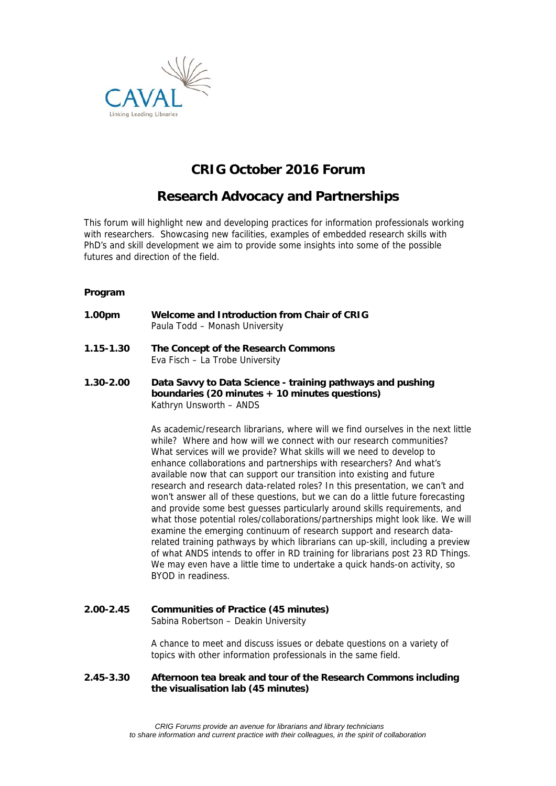

## **CRIG October 2016 Forum**

### **Research Advocacy and Partnerships**

This forum will highlight new and developing practices for information professionals working with researchers. Showcasing new facilities, examples of embedded research skills with PhD's and skill development we aim to provide some insights into some of the possible futures and direction of the field.

#### **Program**

- **1.00pm Welcome and Introduction from Chair of CRIG** Paula Todd – Monash University
- **1.15-1.30 The Concept of the Research Commons** Eva Fisch – La Trobe University
- **1.30-2.00 Data Savvy to Data Science training pathways and pushing boundaries (20 minutes + 10 minutes questions)**  Kathryn Unsworth – ANDS

As academic/research librarians, where will we find ourselves in the next little while? Where and how will we connect with our research communities? What services will we provide? What skills will we need to develop to enhance collaborations and partnerships with researchers? And what's available now that can support our transition into existing and future research and research data-related roles? In this presentation, we can't and won't answer all of these questions, but we can do a little future forecasting and provide some best guesses particularly around skills requirements, and what those potential roles/collaborations/partnerships might look like. We will examine the emerging continuum of research support and research datarelated training pathways by which librarians can up-skill, including a preview of what ANDS intends to offer in RD training for librarians post 23 RD Things. We may even have a little time to undertake a quick hands-on activity, so BYOD in readiness.

#### **2.00-2.45 Communities of Practice (45 minutes)** Sabina Robertson – Deakin University

A chance to meet and discuss issues or debate questions on a variety of topics with other information professionals in the same field.

#### **2.45-3.30 Afternoon tea break and tour of the Research Commons including the visualisation lab (45 minutes)**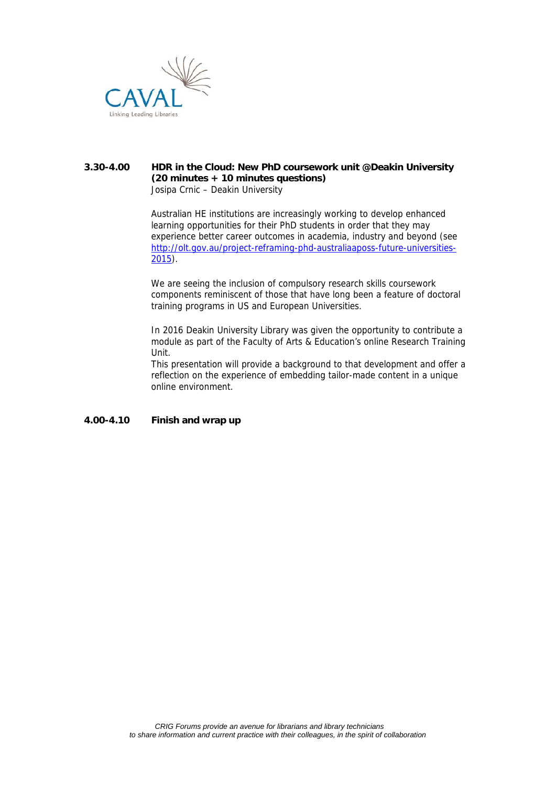

#### **3.30-4.00 HDR in the Cloud: New PhD coursework unit @Deakin University (20 minutes + 10 minutes questions)** Josipa Crnic – Deakin University

Australian HE institutions are increasingly working to develop enhanced learning opportunities for their PhD students in order that they may experience better career outcomes in academia, industry and beyond (see http://olt.gov.au/project-reframing-phd-australiaaposs-future-universities-2015).

We are seeing the inclusion of compulsory research skills coursework components reminiscent of those that have long been a feature of doctoral training programs in US and European Universities.

In 2016 Deakin University Library was given the opportunity to contribute a module as part of the Faculty of Arts & Education's online Research Training Unit.

This presentation will provide a background to that development and offer a reflection on the experience of embedding tailor-made content in a unique online environment.

### **4.00-4.10 Finish and wrap up**